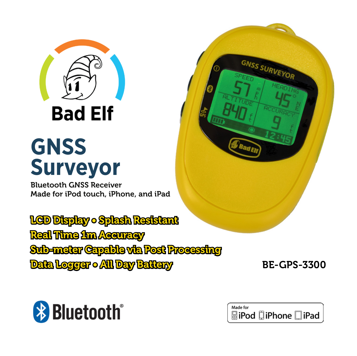

**Bad Elf** 

# **GNSS Surveyor**

Bluetooth GNSS Receiver Made for iPod touch, iPhone, and iPad

LCD Display • Splash Resistant Real Time 1m Accuracy Sub-meter Capable via Post Processing Data Logger • All Day Battery

BE-GPS-3300





GNSS SURVEYOR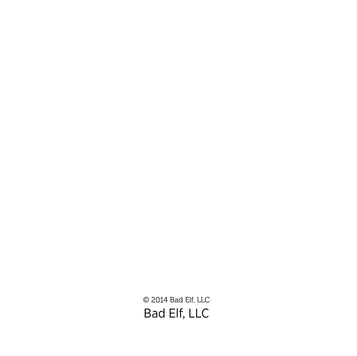© 2014 Bad Elf, LLC Bad Elf, LLC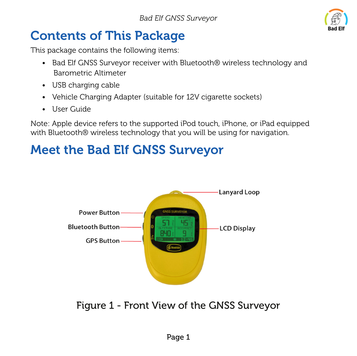

### Contents of This Package

This package contains the following items:

- Bad Elf GNSS Surveyor receiver with Bluetooth® wireless technology and Barometric Altimeter
- USB charging cable
- Vehicle Charging Adapter (suitable for 12V cigarette sockets)
- User Guide

Note: Apple device refers to the supported iPod touch, iPhone, or iPad equipped with Bluetooth® wireless technology that you will be using for navigation.

### Meet the Bad Elf GNSS Surveyor



Figure 1 - Front View of the GNSS Surveyor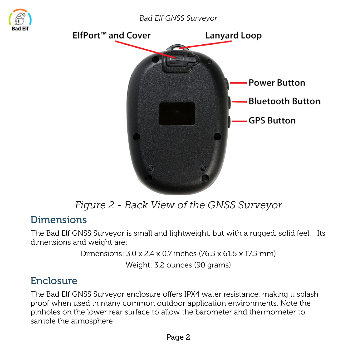

#### *Figure 2 - Back View of the GNSS Surveyor*

#### Dimensions

The Bad Elf GNSS Surveyor is small and lightweight, but with a rugged, solid feel. Its dimensions and weight are:

Dimensions:  $3.0 \times 2.4 \times 0.7$  inches  $(76.5 \times 61.5 \times 175$  mm)

Weight: 3.2 ounces (90 grams)

#### Enclosure

The Bad Elf GNSS Surveyor enclosure offers IPX4 water resistance, making it splash proof when used in many common outdoor application environments. Note the pinholes on the lower rear surface to allow the barometer and thermometer to sample the atmosphere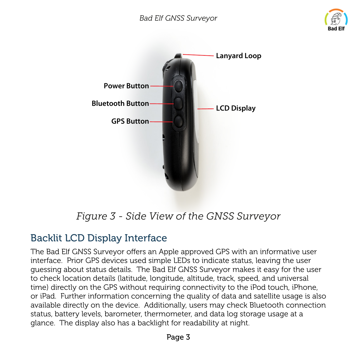



*Figure 3 - Side View of the GNSS Surveyor*

#### Backlit LCD Display Interface

The Bad Elf GNSS Surveyor offers an Apple approved GPS with an informative user interface. Prior GPS devices used simple LEDs to indicate status, leaving the user guessing about status details. The Bad Elf GNSS Surveyor makes it easy for the user to check location details (latitude, longitude, altitude, track, speed, and universal time) directly on the GPS without requiring connectivity to the iPod touch, iPhone, or iPad. Further information concerning the quality of data and satellite usage is also available directly on the device. Additionally, users may check Bluetooth connection status, battery levels, barometer, thermometer, and data log storage usage at a glance. The display also has a backlight for readability at night.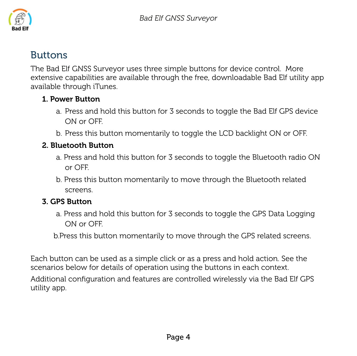

#### Buttons

The Bad Elf GNSS Surveyor uses three simple buttons for device control. More extensive capabilities are available through the free, downloadable Bad Elf utility app available through iTunes.

#### 1. Power Button

- a. Press and hold this button for 3 seconds to toggle the Bad Elf GPS device ON or OFF.
- b. Press this button momentarily to toggle the LCD backlight ON or OFF.

#### 2. Bluetooth Button

- a. Press and hold this button for 3 seconds to toggle the Bluetooth radio ON or OFF.
- b. Press this button momentarily to move through the Bluetooth related screens.

#### 3. GPS Button

a. Press and hold this button for 3 seconds to toggle the GPS Data Logging ON or OFF.

b.Press this button momentarily to move through the GPS related screens.

Each button can be used as a simple click or as a press and hold action. See the scenarios below for details of operation using the buttons in each context. Additional configuration and features are controlled wirelessly via the Bad Elf GPS utility app.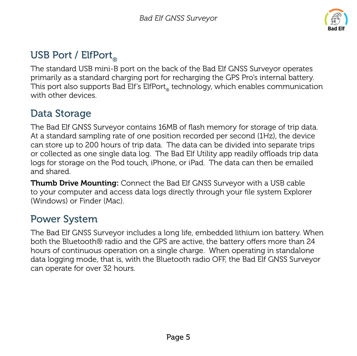

#### USB Port / ElfPort.

The standard USB mini-B port on the back of the Bad Elf GNSS Surveyor operates primarily as a standard charging port for recharging the GPS Pro's internal battery. This port also supports Bad Elf's ElfPort® technology, which enables communication with other devices.

#### Data Storage

The Bad Elf GNSS Surveyor contains 16MB of flash memory for storage of trip data. At a standard sampling rate of one position recorded per second (1Hz), the device can store up to 200 hours of trip data. The data can be divided into separate trips or collected as one single data log. The Bad Elf Utility app readily offloads trip data logs for storage on the Pod touch, iPhone, or iPad. The data can then be emailed and shared.

Thumb Drive Mounting: Connect the Bad Elf GNSS Surveyor with a USB cable to your computer and access data logs directly through your file system Explorer (Windows) or Finder (Mac).

#### Power System

The Bad Elf GNSS Surveyor includes a long life, embedded lithium ion battery. When both the Bluetooth® radio and the GPS are active, the battery offers more than 24 hours of continuous operation on a single charge. When operating in standalone data logging mode, that is, with the Bluetooth radio OFF, the Bad Elf GNSS Surveyor can operate for over 32 hours.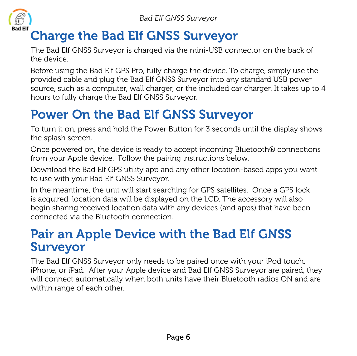

### Charge the Bad Elf GNSS Surveyor

The Bad Elf GNSS Surveyor is charged via the mini-USB connector on the back of the device.

Before using the Bad Elf GPS Pro, fully charge the device. To charge, simply use the provided cable and plug the Bad Elf GNSS Surveyor into any standard USB power source, such as a computer, wall charger, or the included car charger. It takes up to 4 hours to fully charge the Bad Elf GNSS Surveyor.

### Power On the Bad Elf GNSS Surveyor

To turn it on, press and hold the Power Button for 3 seconds until the display shows the splash screen.

Once powered on, the device is ready to accept incoming Bluetooth® connections from your Apple device. Follow the pairing instructions below.

Download the Bad Elf GPS utility app and any other location-based apps you want to use with your Bad Elf GNSS Surveyor.

In the meantime, the unit will start searching for GPS satellites. Once a GPS lock is acquired, location data will be displayed on the LCD. The accessory will also begin sharing received location data with any devices (and apps) that have been connected via the Bluetooth connection.

#### Pair an Apple Device with the Bad Elf GNSS Surveyor

The Bad Elf GNSS Surveyor only needs to be paired once with your iPod touch, iPhone, or iPad. After your Apple device and Bad Elf GNSS Surveyor are paired, they will connect automatically when both units have their Bluetooth radios ON and are within range of each other.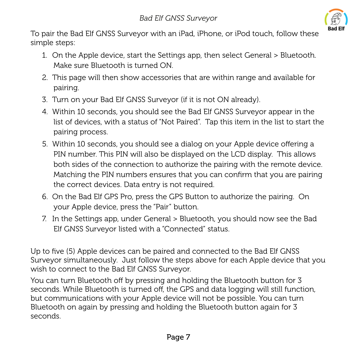

To pair the Bad Elf GNSS Surveyor with an iPad, iPhone, or iPod touch, follow these simple steps:

- 1. On the Apple device, start the Settings app, then select General > Bluetooth. Make sure Bluetooth is turned ON.
- 2. This page will then show accessories that are within range and available for pairing.
- 3. Turn on your Bad Elf GNSS Surveyor (if it is not ON already).
- 4. Within 10 seconds, you should see the Bad Elf GNSS Surveyor appear in the list of devices, with a status of "Not Paired". Tap this item in the list to start the pairing process.
- 5. Within 10 seconds, you should see a dialog on your Apple device offering a PIN number. This PIN will also be displayed on the LCD display. This allows both sides of the connection to authorize the pairing with the remote device. Matching the PIN numbers ensures that you can confirm that you are pairing the correct devices. Data entry is not required.
- 6. On the Bad Elf GPS Pro, press the GPS Button to authorize the pairing. On your Apple device, press the "Pair" button.
- 7. In the Settings app, under General > Bluetooth, you should now see the Bad Elf GNSS Surveyor listed with a "Connected" status.

Up to five (5) Apple devices can be paired and connected to the Bad Elf GNSS Surveyor simultaneously. Just follow the steps above for each Apple device that you wish to connect to the Bad Elf GNSS Surveyor.

You can turn Bluetooth off by pressing and holding the Bluetooth button for 3 seconds. While Bluetooth is turned off, the GPS and data logging will still function, but communications with your Apple device will not be possible. You can turn Bluetooth on again by pressing and holding the Bluetooth button again for 3 seconds.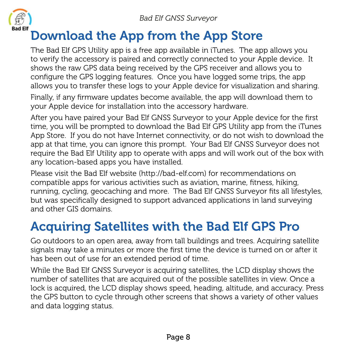

#### Download the App from the App Store

The Bad Elf GPS Utility app is a free app available in iTunes. The app allows you to verify the accessory is paired and correctly connected to your Apple device. It shows the raw GPS data being received by the GPS receiver and allows you to configure the GPS logging features. Once you have logged some trips, the app allows you to transfer these logs to your Apple device for visualization and sharing.

Finally, if any firmware updates become available, the app will download them to your Apple device for installation into the accessory hardware.

After you have paired your Bad Elf GNSS Surveyor to your Apple device for the first time, you will be prompted to download the Bad Elf GPS Utility app from the iTunes App Store. If you do not have Internet connectivity, or do not wish to download the app at that time, you can ignore this prompt. Your Bad Elf GNSS Surveyor does not require the Bad Elf Utility app to operate with apps and will work out of the box with any location-based apps you have installed.

Please visit the Bad Elf website (http://bad-elf.com) for recommendations on compatible apps for various activities such as aviation, marine, fitness, hiking, running, cycling, geocaching and more. The Bad Elf GNSS Surveyor fits all lifestyles, but was specifically designed to support advanced applications in land surveying and other GIS domains.

### Acquiring Satellites with the Bad Elf GPS Pro

Go outdoors to an open area, away from tall buildings and trees. Acquiring satellite signals may take a minutes or more the first time the device is turned on or after it has been out of use for an extended period of time.

While the Bad Elf GNSS Surveyor is acquiring satellites, the LCD display shows the number of satellites that are acquired out of the possible satellites in view. Once a lock is acquired, the LCD display shows speed, heading, altitude, and accuracy. Press the GPS button to cycle through other screens that shows a variety of other values and data logging status.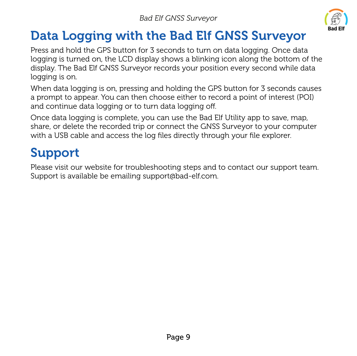

## Data Logging with the Bad Elf GNSS Surveyor

Press and hold the GPS button for 3 seconds to turn on data logging. Once data logging is turned on, the LCD display shows a blinking icon along the bottom of the display. The Bad Elf GNSS Surveyor records your position every second while data logging is on.

When data logging is on, pressing and holding the GPS button for 3 seconds causes a prompt to appear. You can then choose either to record a point of interest (POI) and continue data logging or to turn data logging off.

Once data logging is complete, you can use the Bad Elf Utility app to save, map, share, or delete the recorded trip or connect the GNSS Surveyor to your computer with a USB cable and access the log files directly through your file explorer.

## Support

Please visit our website for troubleshooting steps and to contact our support team. Support is available be emailing support@bad-elf.com.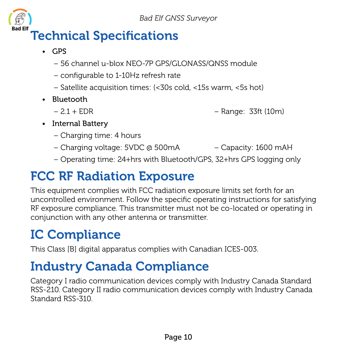

- GPS
	- 56 channel u-blox NEO-7P GPS/GLONASS/QNSS module
	- configurable to 1-10Hz refresh rate
	- Satellite acquisition times: (<30s cold, <15s warm, <5s hot)
- Bluetooth
	-
	- 2.1 + EDR Range: 33ft (10m)
- Internal Battery
	- Charging time: 4 hours
	- Charging voltage: 5VDC @ 500mA Capacity: 1600 mAH
	- Operating time: 24+hrs with Bluetooth/GPS, 32+hrs GPS logging only

### FCC RF Radiation Exposure

This equipment complies with FCC radiation exposure limits set forth for an uncontrolled environment. Follow the specific operating instructions for satisfying RF exposure compliance. This transmitter must not be co-located or operating in conjunction with any other antenna or transmitter.

## IC Compliance

This Class [B] digital apparatus complies with Canadian ICES-003.

### Industry Canada Compliance

Category I radio communication devices comply with Industry Canada Standard RSS-210. Category II radio communication devices comply with Industry Canada Standard RSS-310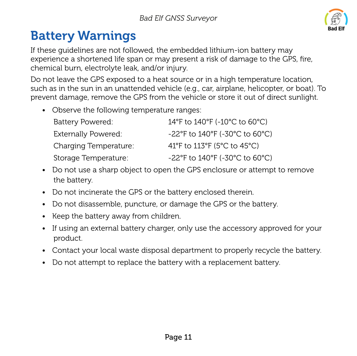

## Battery Warnings

If these guidelines are not followed, the embedded lithium-ion battery may experience a shortened life span or may present a risk of damage to the GPS, fire, chemical burn, electrolyte leak, and/or injury.

Do not leave the GPS exposed to a heat source or in a high temperature location. such as in the sun in an unattended vehicle (e.g., car, airplane, helicopter, or boat). To prevent damage, remove the GPS from the vehicle or store it out of direct sunlight.

• Observe the following temperature ranges:

| Battery Powered:      | 14°F to 140°F (-10°C to 60°C)  |
|-----------------------|--------------------------------|
| Externally Powered:   | -22°F to 140°F (-30°C to 60°C) |
| Charging Temperature: | 41°F to 113°F (5°C to 45°C)    |
| Storage Temperature:  | -22°F to 140°F (-30°C to 60°C) |

- Do not use a sharp object to open the GPS enclosure or attempt to remove the battery.
- Do not incinerate the GPS or the battery enclosed therein.
- Do not disassemble, puncture, or damage the GPS or the battery.
- Keep the battery away from children.
- If using an external battery charger, only use the accessory approved for your product.
- Contact your local waste disposal department to properly recycle the battery.
- Do not attempt to replace the battery with a replacement battery.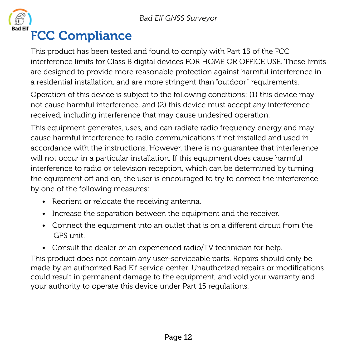

# Bad EH' FCC Compliance

This product has been tested and found to comply with Part 15 of the FCC interference limits for Class B digital devices FOR HOME OR OFFICE USE. These limits are designed to provide more reasonable protection against harmful interference in a residential installation, and are more stringent than "outdoor" requirements.

Operation of this device is subject to the following conditions: (1) this device may not cause harmful interference, and (2) this device must accept any interference received, including interference that may cause undesired operation.

This equipment generates, uses, and can radiate radio frequency energy and may cause harmful interference to radio communications if not installed and used in accordance with the instructions. However, there is no guarantee that interference will not occur in a particular installation. If this equipment does cause harmful interference to radio or television reception, which can be determined by turning the equipment off and on, the user is encouraged to try to correct the interference by one of the following measures:

- Reorient or relocate the receiving antenna.
- Increase the separation between the equipment and the receiver.
- Connect the equipment into an outlet that is on a different circuit from the GPS unit.
- Consult the dealer or an experienced radio/TV technician for help.

This product does not contain any user-serviceable parts. Repairs should only be made by an authorized Bad Elf service center. Unauthorized repairs or modifications could result in permanent damage to the equipment, and void your warranty and your authority to operate this device under Part 15 regulations.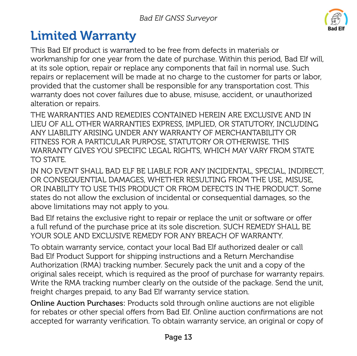

### Limited Warranty

This Bad Elf product is warranted to be free from defects in materials or workmanship for one year from the date of purchase. Within this period, Bad Elf will, at its sole option, repair or replace any components that fail in normal use. Such repairs or replacement will be made at no charge to the customer for parts or labor, provided that the customer shall be responsible for any transportation cost. This warranty does not cover failures due to abuse, misuse, accident, or unauthorized alteration or repairs.

THE WARRANTIES AND REMEDIES CONTAINED HEREIN ARE EXCLUSIVE AND IN LIEU OF ALL OTHER WARRANTIES EXPRESS, IMPLIED, OR STATUTORY, INCLUDING ANY LIABILITY ARISING UNDER ANY WARRANTY OF MERCHANTABILITY OR FITNESS FOR A PARTICULAR PURPOSE, STATUTORY OR OTHERWISE. THIS WARRANTY GIVES YOU SPECIFIC LEGAL RIGHTS, WHICH MAY VARY FROM STATE TO STATE.

IN NO EVENT SHALL BAD ELF BE LIABLE FOR ANY INCIDENTAL, SPECIAL, INDIRECT, OR CONSEQUENTIAL DAMAGES, WHETHER RESULTING FROM THE USE, MISUSE, OR INABILITY TO USE THIS PRODUCT OR FROM DEFECTS IN THE PRODUCT. Some states do not allow the exclusion of incidental or consequential damages, so the above limitations may not apply to you.

Bad Elf retains the exclusive right to repair or replace the unit or software or offer a full refund of the purchase price at its sole discretion. SUCH REMEDY SHALL BE YOUR SOLE AND EXCLUSIVE REMEDY FOR ANY BREACH OF WARRANTY.

To obtain warranty service, contact your local Bad Elf authorized dealer or call Bad Elf Product Support for shipping instructions and a Return Merchandise Authorization (RMA) tracking number. Securely pack the unit and a copy of the original sales receipt, which is required as the proof of purchase for warranty repairs. Write the RMA tracking number clearly on the outside of the package. Send the unit, freight charges prepaid, to any Bad Elf warranty service station.

Online Auction Purchases: Products sold through online auctions are not eligible for rebates or other special offers from Bad Elf. Online auction confirmations are not accepted for warranty verification. To obtain warranty service, an original or copy of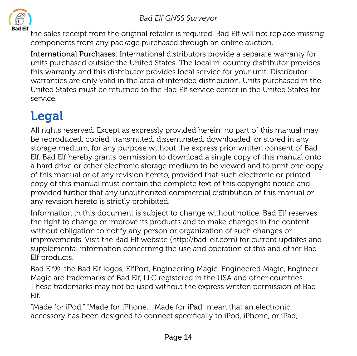

the sales receipt from the original retailer is required. Bad Elf will not replace missing components from any package purchased through an online auction.

International Purchases: International distributors provide a separate warranty for units purchased outside the United States. The local in-country distributor provides this warranty and this distributor provides local service for your unit. Distributor warranties are only valid in the area of intended distribution. Units purchased in the United States must be returned to the Bad Elf service center in the United States for service.

# Legal

All rights reserved. Except as expressly provided herein, no part of this manual may be reproduced, copied, transmitted, disseminated, downloaded, or stored in any storage medium, for any purpose without the express prior written consent of Bad Elf. Bad Elf hereby grants permission to download a single copy of this manual onto a hard drive or other electronic storage medium to be viewed and to print one copy of this manual or of any revision hereto, provided that such electronic or printed copy of this manual must contain the complete text of this copyright notice and provided further that any unauthorized commercial distribution of this manual or any revision hereto is strictly prohibited.

Information in this document is subject to change without notice. Bad Elf reserves the right to change or improve its products and to make changes in the content without obligation to notify any person or organization of such changes or improvements. Visit the Bad Elf website (http://bad-elf.com) for current updates and supplemental information concerning the use and operation of this and other Bad Elf products.

Bad Elf®, the Bad Elf logos, ElfPort, Engineering Magic, Engineered Magic, Engineer Magic are trademarks of Bad Elf, LLC registered in the USA and other countries. These trademarks may not be used without the express written permission of Bad Elf.

"Made for iPod," "Made for iPhone," "Made for iPad" mean that an electronic accessory has been designed to connect specifically to iPod, iPhone, or iPad,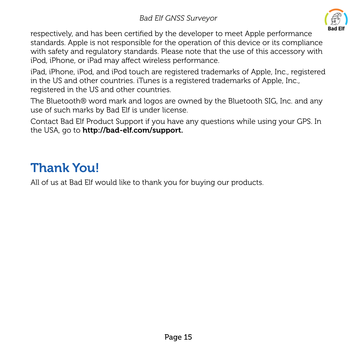

respectively, and has been certified by the developer to meet Apple performance standards. Apple is not responsible for the operation of this device or its compliance with safety and regulatory standards. Please note that the use of this accessory with iPod, iPhone, or iPad may affect wireless performance.

iPad, iPhone, iPod, and iPod touch are registered trademarks of Apple, Inc., registered in the US and other countries. iTunes is a registered trademarks of Apple, Inc., registered in the US and other countries.

The Bluetooth® word mark and logos are owned by the Bluetooth SIG, Inc. and any use of such marks by Bad Elf is under license.

Contact Bad Elf Product Support if you have any questions while using your GPS. In the USA, go to http://bad-elf.com/support.

#### Thank You!

All of us at Bad Elf would like to thank you for buying our products.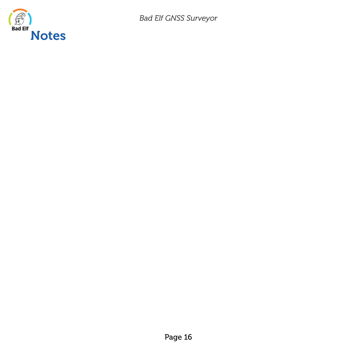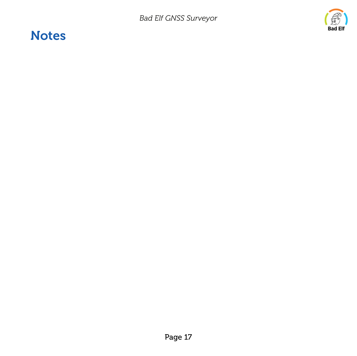#### **Notes**